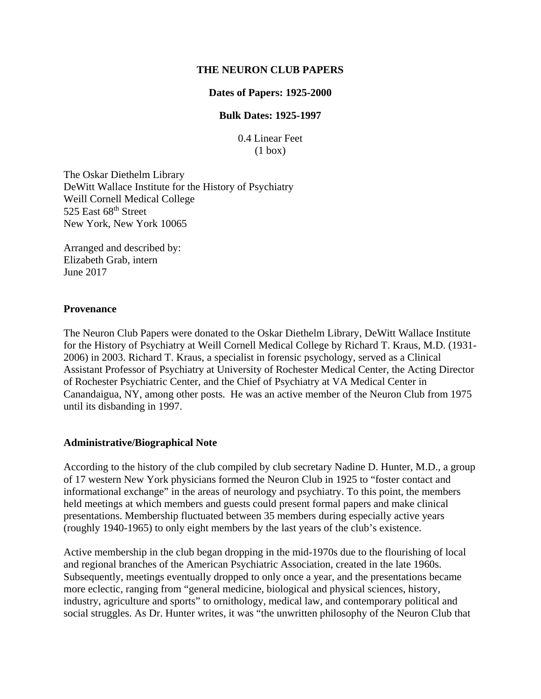#### **THE NEURON CLUB PAPERS**

#### **Dates of Papers: 1925-2000**

#### **Bulk Dates: 1925-1997**

0.4 Linear Feet (1 box)

The Oskar Diethelm Library DeWitt Wallace Institute for the History of Psychiatry Weill Cornell Medical College 525 East 68<sup>th</sup> Street New York, New York 10065

Arranged and described by: Elizabeth Grab, intern June 2017

#### **Provenance**

The Neuron Club Papers were donated to the Oskar Diethelm Library, DeWitt Wallace Institute for the History of Psychiatry at Weill Cornell Medical College by Richard T. Kraus, M.D. (1931- 2006) in 2003. Richard T. Kraus, a specialist in forensic psychology, served as a Clinical Assistant Professor of Psychiatry at University of Rochester Medical Center, the Acting Director of Rochester Psychiatric Center, and the Chief of Psychiatry at VA Medical Center in Canandaigua, NY, among other posts. He was an active member of the Neuron Club from 1975 until its disbanding in 1997.

#### **Administrative/Biographical Note**

According to the history of the club compiled by club secretary Nadine D. Hunter, M.D., a group of 17 western New York physicians formed the Neuron Club in 1925 to "foster contact and informational exchange" in the areas of neurology and psychiatry. To this point, the members held meetings at which members and guests could present formal papers and make clinical presentations. Membership fluctuated between 35 members during especially active years (roughly 1940-1965) to only eight members by the last years of the club's existence.

Active membership in the club began dropping in the mid-1970s due to the flourishing of local and regional branches of the American Psychiatric Association, created in the late 1960s. Subsequently, meetings eventually dropped to only once a year, and the presentations became more eclectic, ranging from "general medicine, biological and physical sciences, history, industry, agriculture and sports" to ornithology, medical law, and contemporary political and social struggles. As Dr. Hunter writes, it was "the unwritten philosophy of the Neuron Club that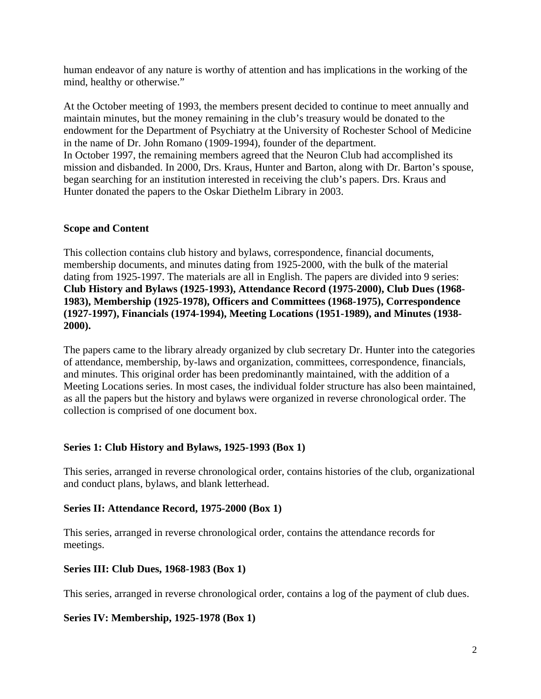human endeavor of any nature is worthy of attention and has implications in the working of the mind, healthy or otherwise."

At the October meeting of 1993, the members present decided to continue to meet annually and maintain minutes, but the money remaining in the club's treasury would be donated to the endowment for the Department of Psychiatry at the University of Rochester School of Medicine in the name of Dr. John Romano (1909-1994), founder of the department. In October 1997, the remaining members agreed that the Neuron Club had accomplished its mission and disbanded. In 2000, Drs. Kraus, Hunter and Barton, along with Dr. Barton's spouse, began searching for an institution interested in receiving the club's papers. Drs. Kraus and Hunter donated the papers to the Oskar Diethelm Library in 2003.

#### **Scope and Content**

This collection contains club history and bylaws, correspondence, financial documents, membership documents, and minutes dating from 1925-2000, with the bulk of the material dating from 1925-1997. The materials are all in English. The papers are divided into 9 series: **Club History and Bylaws (1925-1993), Attendance Record (1975-2000), Club Dues (1968- 1983), Membership (1925-1978), Officers and Committees (1968-1975), Correspondence (1927-1997), Financials (1974-1994), Meeting Locations (1951-1989), and Minutes (1938- 2000).**

The papers came to the library already organized by club secretary Dr. Hunter into the categories of attendance, membership, by-laws and organization, committees, correspondence, financials, and minutes. This original order has been predominantly maintained, with the addition of a Meeting Locations series. In most cases, the individual folder structure has also been maintained, as all the papers but the history and bylaws were organized in reverse chronological order. The collection is comprised of one document box.

## **Series 1: Club History and Bylaws, 1925-1993 (Box 1)**

This series, arranged in reverse chronological order, contains histories of the club, organizational and conduct plans, bylaws, and blank letterhead.

## **Series II: Attendance Record, 1975-2000 (Box 1)**

This series, arranged in reverse chronological order, contains the attendance records for meetings.

## **Series III: Club Dues, 1968-1983 (Box 1)**

This series, arranged in reverse chronological order, contains a log of the payment of club dues.

#### **Series IV: Membership, 1925-1978 (Box 1)**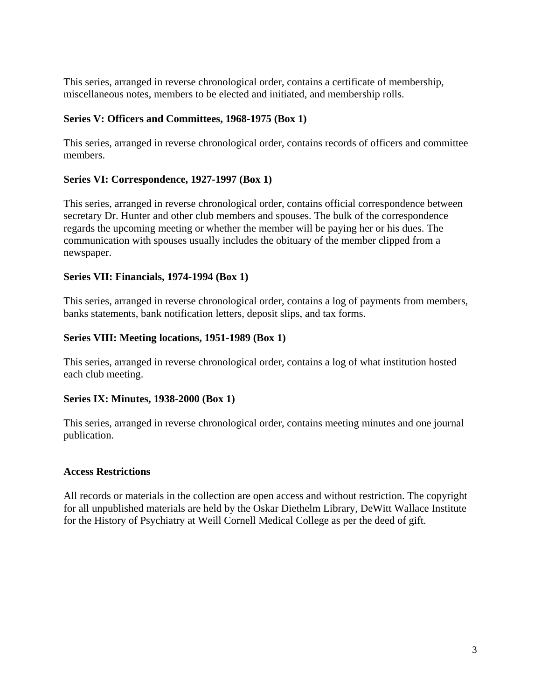This series, arranged in reverse chronological order, contains a certificate of membership, miscellaneous notes, members to be elected and initiated, and membership rolls.

## **Series V: Officers and Committees, 1968-1975 (Box 1)**

This series, arranged in reverse chronological order, contains records of officers and committee members.

## **Series VI: Correspondence, 1927-1997 (Box 1)**

This series, arranged in reverse chronological order, contains official correspondence between secretary Dr. Hunter and other club members and spouses. The bulk of the correspondence regards the upcoming meeting or whether the member will be paying her or his dues. The communication with spouses usually includes the obituary of the member clipped from a newspaper.

## **Series VII: Financials, 1974-1994 (Box 1)**

This series, arranged in reverse chronological order, contains a log of payments from members, banks statements, bank notification letters, deposit slips, and tax forms.

## **Series VIII: Meeting locations, 1951-1989 (Box 1)**

This series, arranged in reverse chronological order, contains a log of what institution hosted each club meeting.

## **Series IX: Minutes, 1938-2000 (Box 1)**

This series, arranged in reverse chronological order, contains meeting minutes and one journal publication.

## **Access Restrictions**

All records or materials in the collection are open access and without restriction. The copyright for all unpublished materials are held by the Oskar Diethelm Library, DeWitt Wallace Institute for the History of Psychiatry at Weill Cornell Medical College as per the deed of gift.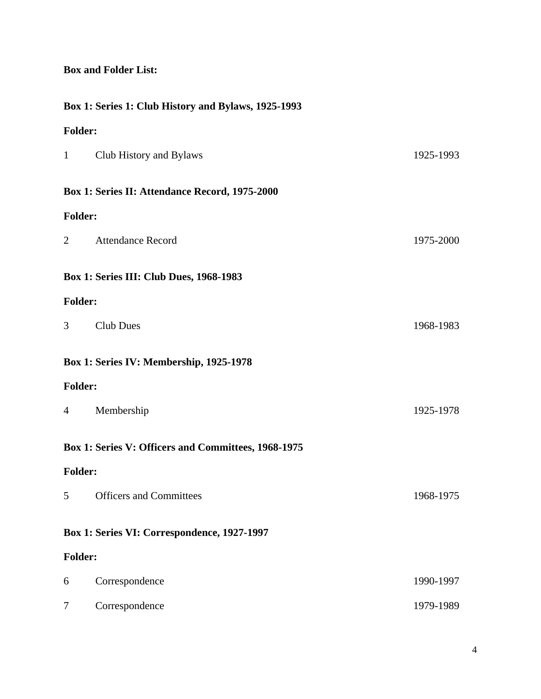## **Box and Folder List:**

## **Box 1: Series 1: Club History and Bylaws, 1925-1993**

# **Folder:**

| $\mathbf{1}$                                | Club History and Bylaws                             | 1925-1993 |  |
|---------------------------------------------|-----------------------------------------------------|-----------|--|
|                                             | Box 1: Series II: Attendance Record, 1975-2000      |           |  |
| <b>Folder:</b>                              |                                                     |           |  |
| $\overline{2}$                              | <b>Attendance Record</b>                            | 1975-2000 |  |
|                                             | <b>Box 1: Series III: Club Dues, 1968-1983</b>      |           |  |
| <b>Folder:</b>                              |                                                     |           |  |
| $\overline{3}$                              | <b>Club Dues</b>                                    | 1968-1983 |  |
| Box 1: Series IV: Membership, 1925-1978     |                                                     |           |  |
| <b>Folder:</b>                              |                                                     |           |  |
| 4                                           | Membership                                          | 1925-1978 |  |
|                                             | Box 1: Series V: Officers and Committees, 1968-1975 |           |  |
| <b>Folder:</b>                              |                                                     |           |  |
| 5                                           | <b>Officers and Committees</b>                      | 1968-1975 |  |
| Box 1: Series VI: Correspondence, 1927-1997 |                                                     |           |  |
| <b>Folder:</b>                              |                                                     |           |  |
| 6                                           | Correspondence                                      | 1990-1997 |  |
| 7                                           | Correspondence                                      | 1979-1989 |  |